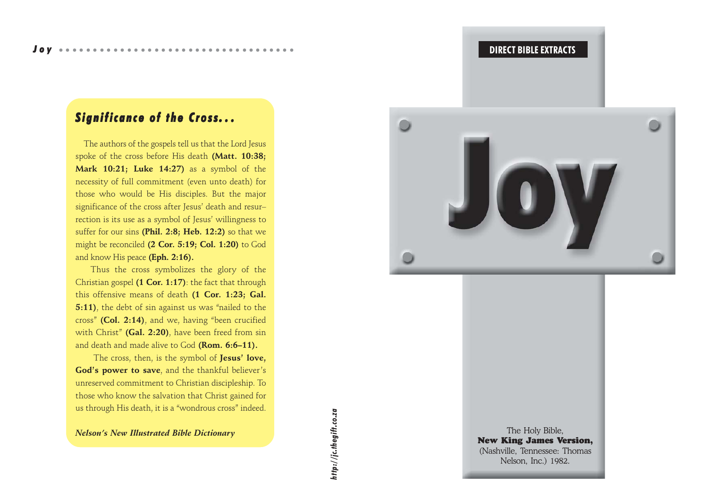# *Significance of the Cross of the Cross. . .*

 The authors of the gospels tell us that the Lord Jesus spoke of the cross before His death **(Matt. 10:38; Mark 10:21; Luke 14:27)** as a symbol of the necessity of full commitment (even unto death) for those who would be His disciples. But the major significance of the cross after Jesus' death and resur– rection is its use as a symbol of Jesus' willingness to suffer for our sins **(Phil. 2:8; Heb. 12:2)** so that we might be reconciled **(2 Cor. 5:19; Col. 1:20)** to God and know His peace **(Eph. 2:16).**

Thus the cross symbolizes the glory of the Christian gospel **(1 Cor. 1:17)**: the fact that through this offensive means of death **(1 Cor. 1:23; Gal. 5:11)**, the debt of sin against us was "nailed to the cross" **(Col. 2:14)**, and we, having "been crucified with Christ" **(Gal. 2:20)**, have been freed from sin and death and made alive to God **(Rom. 6:6–11).**

 The cross, then, is the symbol of **Jesus' love, God's power to save**, and the thankful believer's unreserved commitment to Christian discipleship. To those who know the salvation that Christ gained for us through His death, it is a "wondrous cross" indeed.

#### *Nelson's New Illustrated Bible Dictionary*

ittp://jc.thegift.co.za *http://jc.thegift.co.za*



The Holy Bible, New King James Version, (Nashville, Tennessee: Thomas Nelson, Inc.) 1982.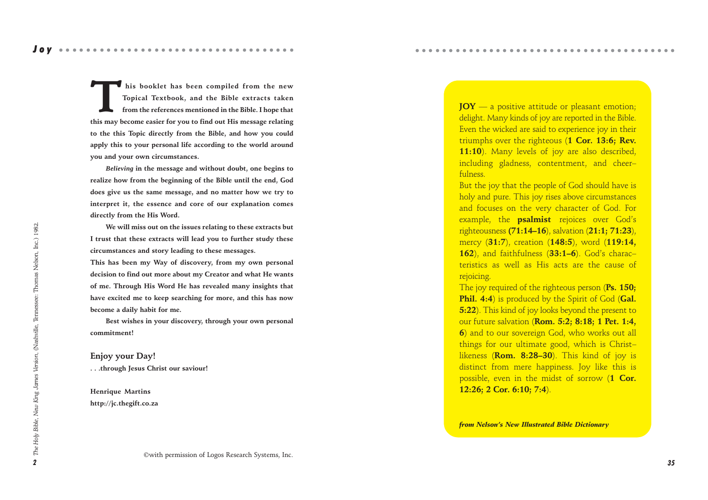This booklet has been compiled from the new<br>Topical Textbook, and the Bible extracts taken<br>from the references mentioned in the Bible. I hope that **Topical Textbook, and the Bible extracts taken**

**from the references mentioned in the Bible. I hope that this may become easier for you to find out His message relating to the this Topic directly from the Bible, and how you could apply this to your personal life according to the world around you and your own circumstances.**

*Believing* **in the message and without doubt, one begins to realize how from the beginning of the Bible until the end, God does give us the same message, and no matter how we try to interpret it, the essence and core of our explanation comes directly from the His Word.**

**We will miss out on the issues relating to these extracts but I trust that these extracts will lead you to further study these circumstances and story leading to these messages.**

**This has been my Way of discovery, from my own personal decision to find out more about my Creator and what He wants of me. Through His Word He has revealed many insights that have excited me to keep searching for more, and this has now become a daily habit for me.**

**Best wishes in your discovery, through your own personal commitment!**

#### **Enjoy your Day!**

**. . .through Jesus Christ our saviour!**

#### **Henrique Martins http://jc.thegift.co.za**

**JOY** — a positive attitude or pleasant emotion; delight. Many kinds of joy are reported in the Bible. Even the wicked are said to experience joy in their triumphs over the righteous (**1 Cor. 13:6; Rev. 11:10**). Many levels of joy are also described, including gladness, contentment, and cheer– fulness.

○○○○○○○○○○○○○○○○○○○○○○○○○○○○○○○○○○ ○○○○○

But the joy that the people of God should have is holy and pure. This joy rises above circumstances and focuses on the very character of God. For example, the **psalmist** rejoices over God's righteousness **(71:14–16**), salvation (**21:1; 71:23**), mercy (**31:7**), creation (**148:5**), word (**119:14, 162**), and faithfulness (**33:1–6**). God's charac– teristics as well as His acts are the cause of rejoicing.

The joy required of the righteous person (**Ps. 150; Phil. 4:4**) is produced by the Spirit of God (**Gal. 5:22**). This kind of joy looks beyond the present to our future salvation (**Rom. 5:2; 8:18; 1 Pet. 1:4, 6**) and to our sovereign God, who works out all things for our ultimate good, which is Christ– likeness (**Rom. 8:28–30**). This kind of joy is distinct from mere happiness. Joy like this is possible, even in the midst of sorrow (**1 Cor. 12:26; 2 Cor. 6:10; 7:4**).

*from Nelson's New Illustrated Bible Dictionary*

Joy ••••••••••••••••••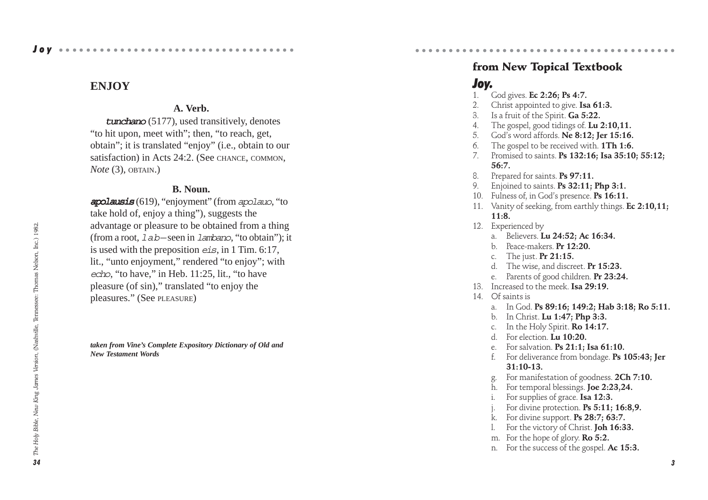#### **A. Verb.**

 $t$ unchano (5177), used transitively, denotes "to hit upon, meet with"; then, "to reach, get, obtain"; it is translated "enjoy" (i.e., obtain to our satisfaction) in Acts 24:2. (See CHANCE, COMMON, *Note* (3), OBTAIN.)

#### **B. Noun.**

apolausis (619), "enjoyment" (from apolauo, "to take hold of, enjoy a thing"), suggests the advantage or pleasure to be obtained from a thing (from a root,  $1ab$  – seen in  $1$ ambano, "to obtain"); it is used with the preposition eis, in 1 Tim. 6:17, lit., "unto enjoyment," rendered "to enjoy"; with echo, "to have," in Heb. 11:25, lit., "to have pleasure (of sin)," translated "to enjoy the pleasures." (See PLEASURE )

*taken from Vine's Complete Expository Dictionary of Old and New Testament Words*

#### ○○○○○○○○○○○○○○○○○○○○○○○○○○○○○○○○○○ ○○○○○from New Topical Textbook

## Joy.

- 1. God gives. **Ec 2:26; Ps 4:7.**
- 2. Christ appointed to give. **Isa 61:3.**
- 3. Is a fruit of the Spirit. **Ga 5:22.**
- 4. The gospel, good tidings of. **Lu 2:10,11.**
- 5. God's word affords. **Ne 8:12; Jer 15:16.**
- 6. The gospel to be received with. **1Th 1:6.**
- 7. Promised to saints. **Ps 132:16; Isa 35:10; 55:12; 56:7.**
- 8. Prepared for saints. **Ps 97:11.**
- 9. Enjoined to saints. **Ps 32:11; Php 3:1.**
- 10. Fulness of, in God's presence. **Ps 16:11.**
- 11. Vanity of seeking, from earthly things. **Ec 2:10,11; 11:8.**
- 12. Experienced by
	- a. Believers. **Lu 24:52; Ac 16:34.**
	- b. Peace-makers. **Pr 12:20.**
	- c. The just. **Pr 21:15.**
	- d. The wise, and discreet. **Pr 15:23.**
	- e. Parents of good children. **Pr 23:24.**
- 13. Increased to the meek. **Isa 29:19.**
- 14 Of saints is
	- a. In God. **Ps 89:16; 149:2; Hab 3:18; Ro 5:11.**
	- b. In Christ. **Lu 1:47; Php 3:3.**
	- c. In the Holy Spirit. **Ro 14:17.**
	- d. For election. **Lu 10:20.**
	- e. For salvation. **Ps 21:1; Isa 61:10.**
	- f. For deliverance from bondage. **Ps 105:43; Jer 31:10-13.**
	- g. For manifestation of goodness. **2Ch 7:10.**
	- h. For temporal blessings. **Joe 2:23,24.**
	- i. For supplies of grace. **Isa 12:3.**
	- j. For divine protection. **Ps 5:11; 16:8,9.**
	- k. For divine support. **Ps 28:7; 63:7.**
	- l. For the victory of Christ. **Joh 16:33.**
	- m. For the hope of glory. **Ro 5:2.**
	- n. For the success of the gospel. **Ac 15:3.**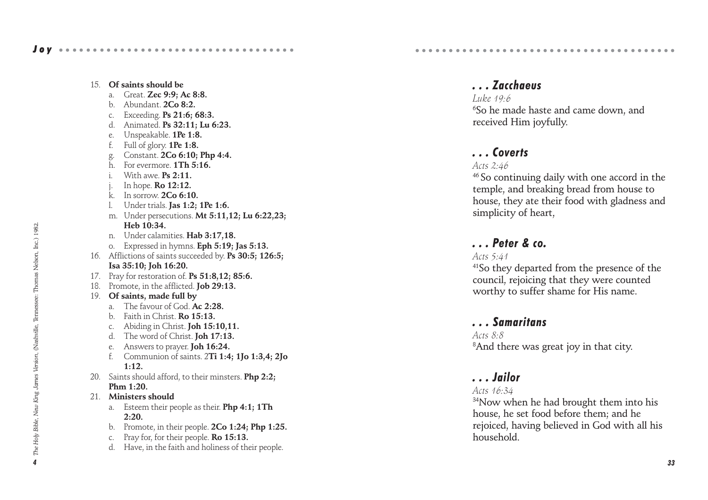|     | 15. Of saints should be<br>Great. Zec 9:9; Ac 8:8.<br>a.<br>b. Abundant. $2Co 8:2$ .<br>Exceeding. Ps 21:6; 68:3.<br>C <sub>1</sub><br>d.<br>Animated. Ps 32:11; Lu 6:23.<br>Unspeakable. 1Pe 1:8.<br>e.<br>f.<br>Full of glory. 1Pe 1:8.<br>Constant. 2Co 6:10; Php 4:4.<br>g.<br>h.<br>For evermore. 1Th 5:16.<br>i.<br>With awe. $Ps$ 2:11.<br>j. In hope. <b>Ro 12:12.</b><br>k. In sorrow. 2Co 6:10.<br>1. Under trials. Jas 1:2; 1Pe 1:6.<br>m. Under persecutions. Mt 5:11,12; Lu 6:22,23;<br>Heb 10:34. |
|-----|-----------------------------------------------------------------------------------------------------------------------------------------------------------------------------------------------------------------------------------------------------------------------------------------------------------------------------------------------------------------------------------------------------------------------------------------------------------------------------------------------------------------|
|     | Under calamities. Hab 3:17,18.<br>n.                                                                                                                                                                                                                                                                                                                                                                                                                                                                            |
|     | Expressed in hymns. Eph 5:19; Jas 5:13.<br>O.                                                                                                                                                                                                                                                                                                                                                                                                                                                                   |
| 16. | Afflictions of saints succeeded by. Ps 30:5; 126:5;                                                                                                                                                                                                                                                                                                                                                                                                                                                             |
|     | Isa 35:10; Joh 16:20.                                                                                                                                                                                                                                                                                                                                                                                                                                                                                           |
|     | 17. Pray for restoration of. Ps 51:8,12; 85:6.                                                                                                                                                                                                                                                                                                                                                                                                                                                                  |
|     | 18. Promote, in the afflicted. Job 29:13.                                                                                                                                                                                                                                                                                                                                                                                                                                                                       |
| 19. | Of saints, made full by                                                                                                                                                                                                                                                                                                                                                                                                                                                                                         |
|     | The favour of God. Ac 2:28.<br>a.                                                                                                                                                                                                                                                                                                                                                                                                                                                                               |
|     | b. Faith in Christ. Ro 15:13.                                                                                                                                                                                                                                                                                                                                                                                                                                                                                   |
|     | c. Abiding in Christ. <b>Joh 15:10,11.</b>                                                                                                                                                                                                                                                                                                                                                                                                                                                                      |
|     | d. The word of Christ. Joh 17:13.                                                                                                                                                                                                                                                                                                                                                                                                                                                                               |
|     | Answers to prayer. <b>Joh 16:24.</b><br>e.                                                                                                                                                                                                                                                                                                                                                                                                                                                                      |
|     | f<br>Communion of saints. 2Ti 1:4; 1Jo 1:3,4; 2Jo                                                                                                                                                                                                                                                                                                                                                                                                                                                               |
|     | 1:12.                                                                                                                                                                                                                                                                                                                                                                                                                                                                                                           |
| 20. | Saints should afford, to their minsters. Php 2:2;                                                                                                                                                                                                                                                                                                                                                                                                                                                               |
| 21. | Phm 1:20.<br>Ministers should                                                                                                                                                                                                                                                                                                                                                                                                                                                                                   |
|     |                                                                                                                                                                                                                                                                                                                                                                                                                                                                                                                 |
|     | Esteem their people as their. Php 4:1; 1Th<br>a.<br>2:20.                                                                                                                                                                                                                                                                                                                                                                                                                                                       |
|     | b. Promote, in their people. $2Co$ 1:24; Php 1:25.                                                                                                                                                                                                                                                                                                                                                                                                                                                              |
|     | Pray for, for their people. Ro 15:13.<br>C <sub>1</sub>                                                                                                                                                                                                                                                                                                                                                                                                                                                         |
|     | Have, in the faith and holiness of their people.<br>d.                                                                                                                                                                                                                                                                                                                                                                                                                                                          |
|     |                                                                                                                                                                                                                                                                                                                                                                                                                                                                                                                 |

## *. . . Zacchaeus*

*Luke 19:6*  $^6$ So he made haste and came down, and received Him joyfully.

○○○○○○○○○○○○○○○○○○○○○○○○○○○○○○○○○○ ○○○○○

## *. . . Coverts*

*Acts 2:46*

46 So continuing daily with one accord in the temple, and breaking bread from house to house, they ate their food with gladness and simplicity of heart,

# *. . . Peter & co.*

#### *Acts 5:41*

41So they departed from the presence of the council, rejoicing that they were counted worthy to suffer shame for His name.

## *. . . Samaritans*

*Acts 8:8* 8 And there was great joy in that city.

## *. . . Jailor*

#### *Acts 16:34*

<sup>34</sup>Now when he had brought them into his house, he set food before them; and he rejoiced, having believed in God with all his household.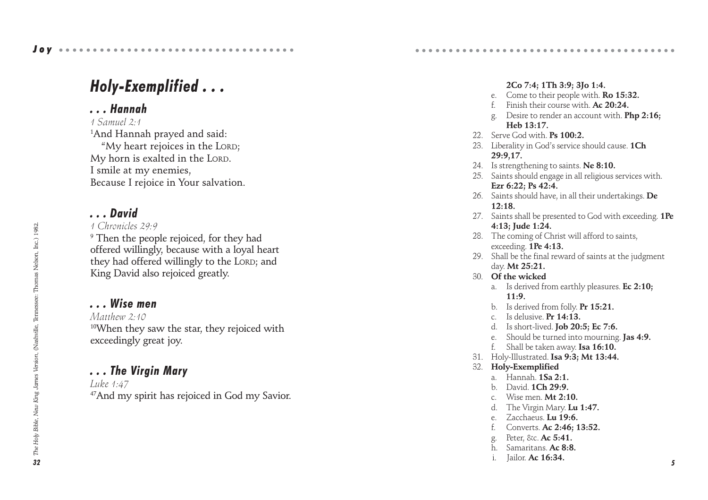## *. . . Hannah*

*1 Samuel 2:1*

1 And Hannah prayed and said: "My heart rejoices in the LORD ; My horn is exalted in the LORD . I smile at my enemies, Because I rejoice in Your salvation.

# *. . . David*

*1 Chronicles 29:9*

 $^9$  Then the people rejoiced, for they had offered willingly, because with a loyal heart they had offered willingly to the LORD; and King David also rejoiced greatly.

# *. . . Wise men*

*Matthew 2:10* 10When they saw the star, they rejoiced with exceedingly great joy.

# *. . . The Virgin Mary*

*Luke 1:47* <sup>47</sup>And my spirit has rejoiced in God my Savior.

#### **2Co 7:4; 1Th 3:9; 3Jo 1:4.**

○○○○○○○○○○○○○○○○○○○○○○○○○○○○○○○○○○ ○○○○○

- e. Come to their people with. **Ro 15:32.**
- Finish their course with. **Ac 20:24.**
- g. Desire to render an account with. **Php 2:16; Heb 13:17.**
- 22. Serve God with. **Ps 100:2.**
- 23. Liberality in God's service should cause. **1Ch 29:9,17.**
- 24. Is strengthening to saints. **Ne 8:10.**
- 25. Saints should engage in all religious services with. **Ezr 6:22; Ps 42:4.**
- 26. Saints should have, in all their undertakings. **De 12:18.**
- 27. Saints shall be presented to God with exceeding. **1Pe 4:13; Jude 1:24.**
- 28. The coming of Christ will afford to saints, exceeding. **1Pe 4:13.**
- 29. Shall be the final reward of saints at the judgment day. **Mt 25:21.**
- 30. **Of the wicked**
	- a. Is derived from earthly pleasures. **Ec 2:10; 11:9.**
	- b. Is derived from folly. **Pr 15:21.**
	- c. Is delusive. **Pr 14:13.**
	- d. Is short-lived. **Job 20:5; Ec 7:6.**
	- e. Should be turned into mourning. **Jas 4:9.**
	- f. Shall be taken away. **Isa 16:10.**
- 31. Holy-Illustrated. **Isa 9:3; Mt 13:44.**
- 32. **Holy-Exemplified**
	- a. Hannah. **1Sa 2:1.**
	- b. David. **1Ch 29:9.**
	- c. Wise men. **Mt 2:10.**
	- d. The Virgin Mary. **Lu 1:47.**
	- e. Zacchaeus. **Lu 19:6.**
	- f. Converts. **Ac 2:46; 13:52.**
	- g. Peter, &c. **Ac 5:41.**
	- h. Samaritans. **Ac 8:8.**
	- i. Jailor. **Ac 16:34.**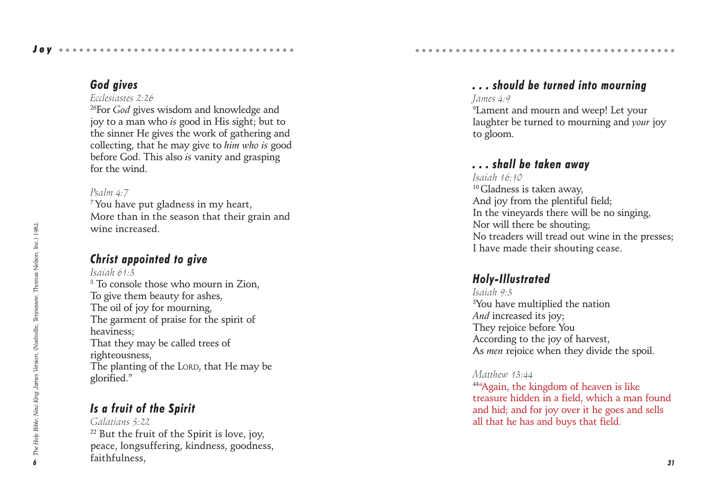## *God gives*

#### *Ecclesiastes 2:26*

26For *God* gives wisdom and knowledge and joy to a man who *is* good in His sight; but to the sinner He gives the work of gathering and collecting, that he may give to *him who is* good before God. This also *is* vanity and grasping for the wind.

## *Psalm 4:7*

<sup>7</sup> You have put gladness in my heart, More than in the season that their grain and wine increased.

# *Christ appointed to give*

*Isaiah 61:3* <sup>3</sup> To console those who mourn in Zion, To give them beauty for ashes, The oil of joy for mourning, The garment of praise for the spirit of heaviness; That they may be called trees of righteousness, The planting of the LORD, that He may be glorified."

# *Is a fruit of the Spirit*

*Galatians 5:22*  $22$  But the fruit of the Spirit is love, joy, peace, longsuffering, kindness, goodness, faithfulness,

# *. . . should be turned into mourning*

○○○○○○○○○○○○○○○○○○○○○○○○○○○○○○○○○○ ○○○○○

#### *James 4:9*

9 Lament and mourn and weep! Let your laughter be turned to mourning and *your* joy to gloom.

# *. . . shall be taken away*

*Isaiah 16:10* <sup>10</sup> Gladness is taken away. And joy from the plentiful field; In the vineyards there will be no singing, Nor will there be shouting; No treaders will tread out wine in the presses; I have made their shouting cease.

# *Holy-Illustrated*

*Isaiah 9:3*  ${}^{3}\!$ You have multiplied the nation *And* increased its joy; They rejoice before You According to the joy of harvest, As *men* rejoice when they divide the spoil.

## *Matthew 13:44*

44"Again, the kingdom of heaven is like treasure hidden in a field, which a man found and hid; and for joy over it he goes and sells all that he has and buys that field.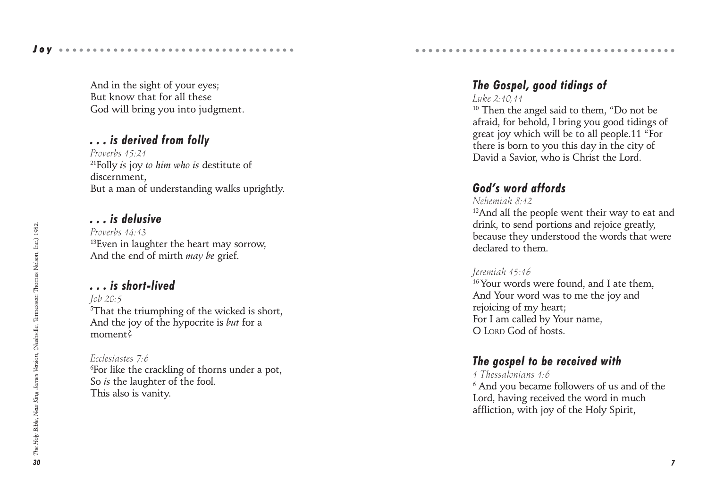And in the sight of your eyes; But know that for all these God will bring you into judgment.

## *. . . is derived from folly*

*Proverbs 15:21* 21Folly *is* joy *to him who is* destitute of discernment, But a man of understanding walks uprightly.

# *. . . is delusive*

Joy ••••••••••••••••••••••••••

*Proverbs 14:13* <sup>13</sup>Even in laughter the heart may sorrow, And the end of mirth *may be* grief.

## *. . . is short-lived*

*Job 20:5*  $^5$ That the triumphing of the wicked is short, And the joy of the hypocrite is *but* for a moment?

#### *Ecclesiastes 7:6*

 $\mathrm{^6}$ For like the crackling of thorns under a pot, So *is* the laughter of the fool. This also is vanity.

# *The Gospel, good tidings of*

○○○○○○○○○○○○○○○○○○○○○○○○○○○○○○○○○○ ○○○○○

*Luke 2:10,11*

<sup>10</sup> Then the angel said to them, "Do not be afraid, for behold, I bring you good tidings of great joy which will be to all people.11 "For there is born to you this day in the city of David a Savior, who is Christ the Lord.

## *God's word affords*

*Nehemiah 8:12*

<sup>12</sup>And all the people went their way to eat and drink, to send portions and rejoice greatly, because they understood the words that were declared to them.

#### *Jeremiah 15:16*

<sup>16</sup> Your words were found, and I ate them, And Your word was to me the joy and rejoicing of my heart; For I am called by Your name, O LORD God of hosts.

# *The gospel to be received with*

#### *1 Thessalonians 1:6*

 $^{\rm 6}$  And you became followers of us and of the Lord, having received the word in much affliction, with joy of the Holy Spirit,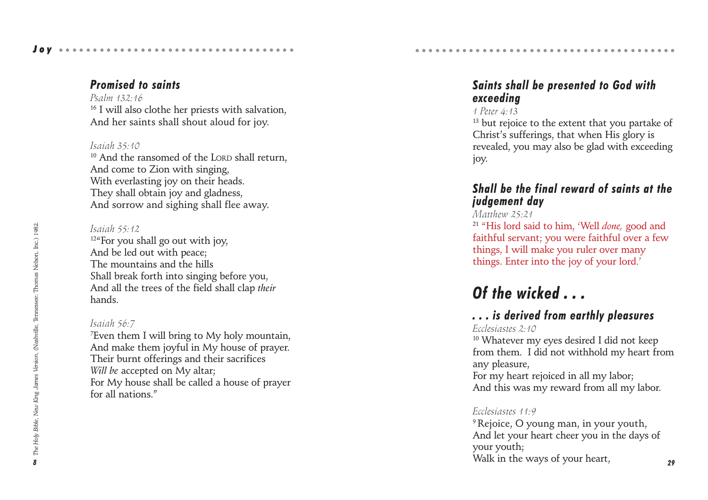# Joy ••••••••••••••••••••••

# *Promised to saints*

*Psalm 132:16* <sup>16</sup> I will also clothe her priests with salvation, And her saints shall shout aloud for joy.

## *Isaiah 35:10*

<sup>10</sup> And the ransomed of the LORD shall return. And come to Zion with singing, With everlasting joy on their heads. They shall obtain joy and gladness, And sorrow and sighing shall flee away.

## *Isaiah 55:12*

12"For you shall go out with joy, And be led out with peace; The mountains and the hills Shall break forth into singing before you, And all the trees of the field shall clap *their* hands.

# *Isaiah 56:7*

7 Even them I will bring to My holy mountain, And make them joyful in My house of prayer. Their burnt offerings and their sacrifices *Will be* accepted on My altar; For My house shall be called a house of prayer for all nations"

# *Saints shall be presented to God with exceeding*

○○○○○○○○○○○○○○○○○○○○○○○○○○○○○○○○○○ ○○○○○

## *1 Peter 4:13*

<sup>13</sup> but rejoice to the extent that you partake of Christ's sufferings, that when His glory is revealed, you may also be glad with exceeding joy.

# *Shall be the final reward of saints at the judgement day*

## *Matthew 25:21*

<sup>21</sup> "His lord said to him, 'Well *done,* good and faithful servant; you were faithful over a few things, I will make you ruler over many things. Enter into the joy of your lord.'

# *Of the wicked . . .*

# *. . . is derived from earthly pleasures*

## *Ecclesiastes 2:10*

<sup>10</sup> Whatever my eyes desired I did not keep from them. I did not withhold my heart from any pleasure,

For my heart rejoiced in all my labor; And this was my reward from all my labor.

## *Ecclesiastes 11:9*

<sup>9</sup> Rejoice, O young man, in your youth. And let your heart cheer you in the days of your youth; Walk in the ways of your heart,

*29*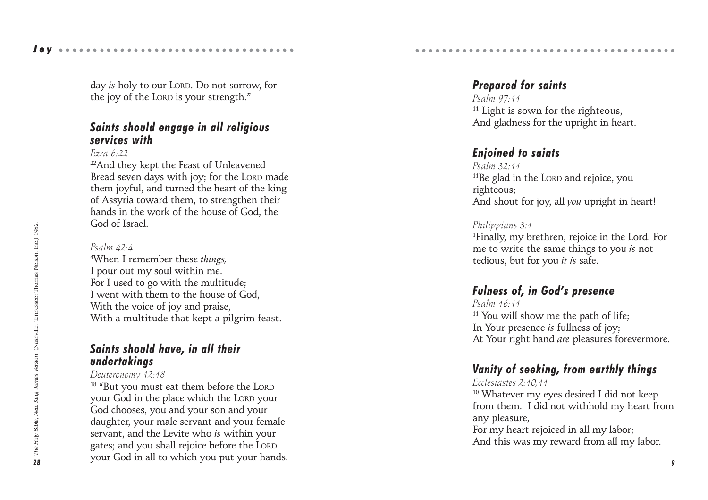Joy ••••••••••••••••••••••

day *is* holy to our LORD. Do not sorrow, for the joy of the LORD is your strength."

## *Saints should engage in all religious services with*

#### *Ezra 6:22*

22And they kept the Feast of Unleavened Bread seven days with joy; for the LORD made them joyful, and turned the heart of the king of Assyria toward them, to strengthen their hands in the work of the house of God, the God of Israel.

#### *Psalm 42:4*

4 When I remember these *things,* I pour out my soul within me. For I used to go with the multitude; I went with them to the house of God, With the voice of joy and praise, With a multitude that kept a pilgrim feast.

## *Saints should have, in all their undertakings*

#### *Deuteronomy 12:18*

<sup>18</sup> "But you must eat them before the LORD your God in the place which the LORD your God chooses, you and your son and your daughter, your male servant and your female servant, and the Levite who *is* within your gates; and you shall rejoice before the LORD your God in all to which you put your hands.

# *Prepared for saints*

*Psalm 97:11* <sup>11</sup> Light is sown for the righteous, And gladness for the upright in heart.

○○○○○○○○○○○○○○○○○○○○○○○○○○○○○○○○○○ ○○○○○

# *Enjoined to saints*

*Psalm 32:11* 11Be glad in the LORD and rejoice, you righteous; And shout for joy, all *you* upright in heart!

#### *Philippians 3:1*

1 Finally, my brethren, rejoice in the Lord. For me to write the same things to you *is* not tedious, but for you *it is* safe.

# *Fulness of, in God's presence*

*Psalm 16:11* <sup>11</sup> You will show me the path of life; In Your presence *is* fullness of joy; At Your right hand *are* pleasures forevermore.

# *Vanity of seeking, from earthly things*

#### *Ecclesiastes 2:10,11*

<sup>10</sup> Whatever my eyes desired I did not keep from them. I did not withhold my heart from any pleasure, For my heart rejoiced in all my labor;

And this was my reward from all my labor.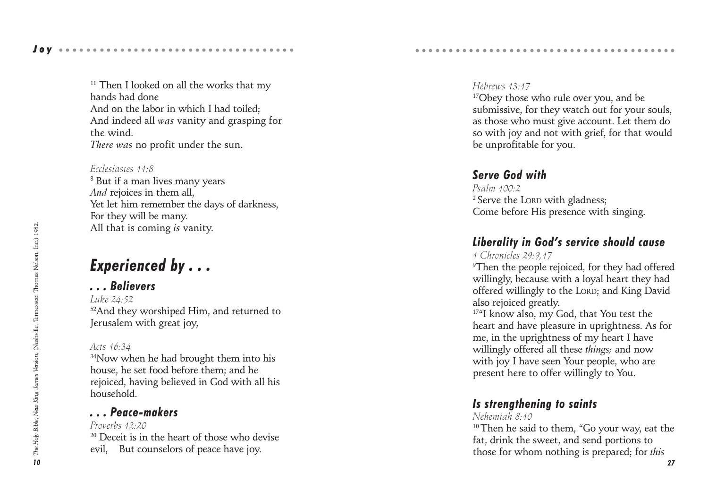<sup>11</sup> Then I looked on all the works that my hands had done And on the labor in which I had toiled; And indeed all *was* vanity and grasping for the wind. *There was* no profit under the sun.

#### *Ecclesiastes 11:8*

 $^{\rm 8}$  But if a man lives many years *And* rejoices in them all, Yet let him remember the days of darkness, For they will be many. All that is coming *is* vanity.

# *Experienced by . . .*

## *. . . Believers*

*Luke 24:52* 52And they worshiped Him, and returned to Jerusalem with great joy,

#### *Acts 16:34*

<sup>34</sup>Now when he had brought them into his house, he set food before them; and he rejoiced, having believed in God with all his household.

## *. . . Peace-makers*

*Proverbs 12:20* <sup>20</sup> Deceit is in the heart of those who devise evil, But counselors of peace have joy.

#### *Hebrews 13:17*

<sup>17</sup>Obey those who rule over you, and be submissive, for they watch out for your souls, as those who must give account. Let them do so with joy and not with grief, for that would be unprofitable for you.

○○○○○○○○○○○○○○○○○○○○○○○○○○○○○○○○○○ ○○○○○

## *Serve God with*

*Psalm 100:2* 2 Serve the LORD with gladness; Come before His presence with singing.

# *Liberality in God's service should cause*

#### *1 Chronicles 29:9,17*

 $\rm{^9}$ Then the people rejoiced, for they had offered willingly, because with a loyal heart they had offered willingly to the LORD; and King David also rejoiced greatly.

<sup>17"</sup>I know also, my God, that You test the heart and have pleasure in uprightness. As for me, in the uprightness of my heart I have willingly offered all these *things;* and now with joy I have seen Your people, who are present here to offer willingly to You.

# *Is strengthening to saints*

#### *Nehemiah 8:10*

<sup>10</sup> Then he said to them, "Go your way, eat the fat, drink the sweet, and send portions to those for whom nothing is prepared; for *this*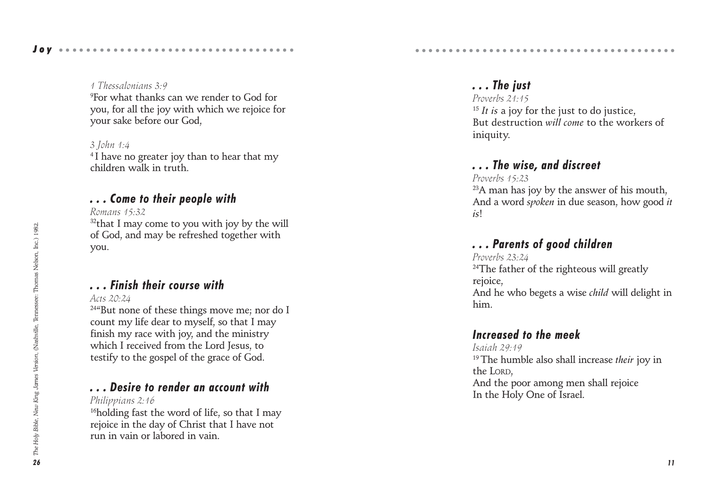#### Joy ••••••••••••••••••••••••••

#### *1 Thessalonians 3:9*

9 For what thanks can we render to God for you, for all the joy with which we rejoice for your sake before our God,

#### *3 John 1:4*

<sup>4</sup>I have no greater joy than to hear that my children walk in truth.

## *. . . Come to their people with*

*Romans 15:32*  $32$ that I may come to you with joy by the will of God, and may be refreshed together with you.

# *. . . Finish their course with*

#### *Acts 20:24*

<sup>24"</sup>But none of these things move me; nor do I count my life dear to myself, so that I may finish my race with joy, and the ministry which I received from the Lord Jesus, to testify to the gospel of the grace of God.

## *. . . Desire to render an account with*

*Philippians 2:16*

<sup>16</sup>holding fast the word of life, so that I may rejoice in the day of Christ that I have not run in vain or labored in vain.

# *. . . The just*

*Proverbs 21:15* <sup>15</sup> *It is* a joy for the just to do justice, But destruction *will come* to the workers of iniquity.

# *. . . The wise, and discreet*

○○○○○○○○○○○○○○○○○○○○○○○○○○○○○○○○○○ ○○○○○

#### *Proverbs 15:23*

<sup>23</sup>A man has joy by the answer of his mouth, And a word *spoken* in due season, how good *it is* !

## *. . . Parents of good children*

*Proverbs 23:24*  $24$ The father of the righteous will greatly rejoice, And he who begets a wise *child* will delight in him.

## *Increased to the meek*

*Isaiah 29:19* 19 The humble also shall increase *their* joy in the LORD , And the poor among men shall rejoice In the Holy One of Israel.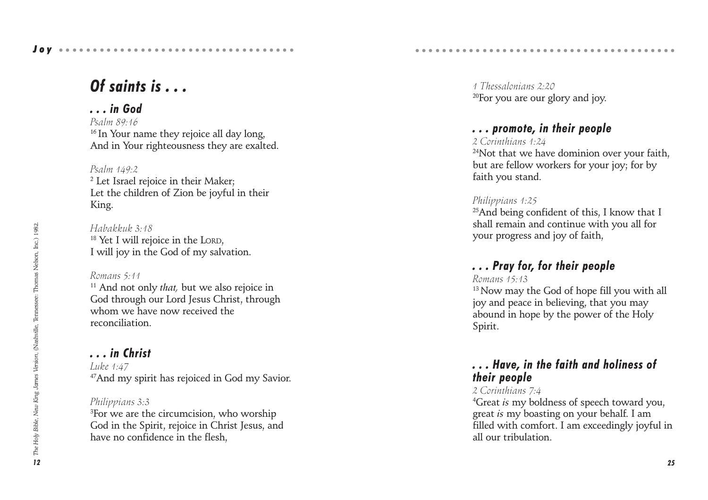# *Of saints is . . .*

## *. . . in God*

*Psalm 89:16* <sup>16</sup> In Your name they rejoice all day long, And in Your righteousness they are exalted.

#### *Psalm 149:2*

 $^{\rm 2}$  Let Israel rejoice in their Maker; Let the children of Zion be joyful in their King.

*Habakkuk 3:18* <sup>18</sup> Yet I will rejoice in the LORD, I will joy in the God of my salvation.

#### *Romans 5:11*

11 And not only *that,* but we also rejoice in God through our Lord Jesus Christ, through whom we have now received the reconciliation.

#### *. . . in Christ*

*Luke 1:47* 47And my spirit has rejoiced in God my Savior.

#### *Philippians 3:3*

 ${}^{3}$ For we are the circumcision, who worship God in the Spirit, rejoice in Christ Jesus, and have no confidence in the flesh,

*1 Thessalonians 2:20* 20For you are our glory and joy.

○○○○○○○○○○○○○○○○○○○○○○○○○○○○○○○○○○ ○○○○○

## *. . . promote, in their people*

*2 Corinthians 1:24*

<sup>24</sup>Not that we have dominion over your faith, but are fellow workers for your joy; for by faith you stand.

#### *Philippians 1:25*

<sup>25</sup>And being confident of this, I know that I shall remain and continue with you all for your progress and joy of faith,

## *. . . Pray for, for their people*

*Romans 15:13*

<sup>13</sup> Now may the God of hope fill you with all joy and peace in believing, that you may abound in hope by the power of the Holy Spirit.

## *. . . Have, in the faith and holiness of their people*

#### *2 Corinthians 7:4*

4 Great *is* my boldness of speech toward you, great *is* my boasting on your behalf. I am filled with comfort. I am exceedingly joyful in all our tribulation.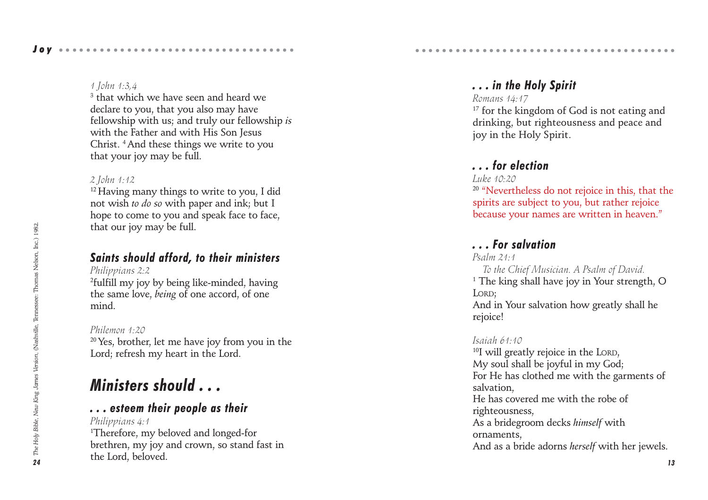#### *1 John 1:3,4*

 $^{\rm 3}$  that which we have seen and heard we declare to you, that you also may have fellowship with us; and truly our fellowship *is* with the Father and with His Son Jesus Christ. 4 And these things we write to you that your joy may be full.

#### *2 John 1:12*

<sup>12</sup> Having many things to write to you, I did not wish *to do so* with paper and ink; but I hope to come to you and speak face to face. that our joy may be full.

## *Saints should afford, to their ministers*

*Philippians 2:2*

2 fulfill my joy by being like-minded, having the same love, *being* of one accord, of one mind.

#### *Philemon 1:20*

<sup>20</sup> Yes, brother, let me have joy from you in the Lord; refresh my heart in the Lord.

# *Ministers should . . .*

## *. . . esteem their people as their*

*Philippians 4:1* 1 Therefore, my beloved and longed-for brethren, my joy and crown, so stand fast in the Lord, beloved.

# *. . . in the Holy Spirit*

○○○○○○○○○○○○○○○○○○○○○○○○○○○○○○○○○○ ○○○○○

#### *Romans 14:17*

<sup>17</sup> for the kingdom of God is not eating and drinking, but righteousness and peace and joy in the Holy Spirit.

## *. . . for election*

#### *Luke 10:20*

<sup>20</sup> "Nevertheless do not rejoice in this, that the spirits are subject to you, but rather rejoice because your names are written in heaven."

## *. . . For salvation*

*Psalm 21:1 To the Chief Musician. A Psalm of David.* 1 The king shall have joy in Your strength, O LORD; And in Your salvation how greatly shall he rejoice!

#### *Isaiah 61:10*

<sup>10</sup>I will greatly rejoice in the LORD, My soul shall be joyful in my God; For He has clothed me with the garments of salvation, He has covered me with the robe of righteousness, As a bridegroom decks *himself* with ornaments, And as a bride adorns *herself* with her jewels.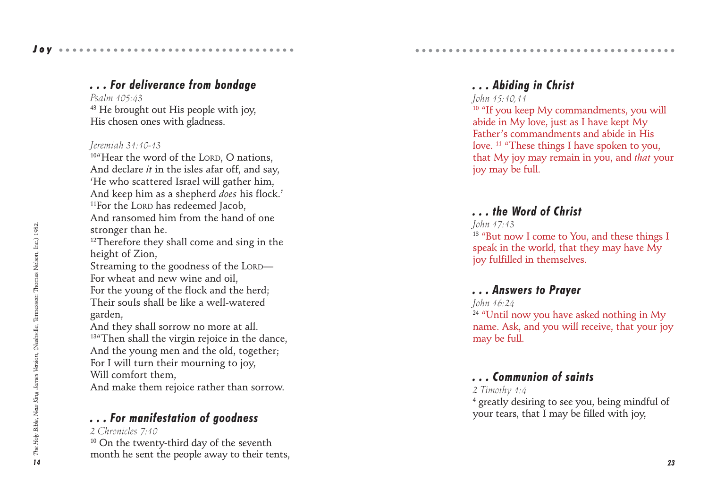# *. . . For deliverance from bondage*

*Psalm 105:43* 43 He brought out His people with joy, His chosen ones with gladness.

#### *Jeremiah 31:10-13*

<sup>10"</sup>Hear the word of the LORD, O nations, And declare *it* in the isles afar off, and say, 'He who scattered Israel will gather him, And keep him as a shepherd *does* his flock.' <sup>11</sup>For the LORD has redeemed Jacob, And ransomed him from the hand of one stronger than he.

<sup>12</sup>Therefore they shall come and sing in the height of Zion,

Streaming to the goodness of the LORD — For wheat and new wine and oil, For the young of the flock and the herd; Their souls shall be like a well-watered garden,

And they shall sorrow no more at all. <sup>13"</sup>Then shall the virgin rejoice in the dance, And the young men and the old, together; For I will turn their mourning to joy, Will comfort them,

And make them rejoice rather than sorrow.

## *. . . For manifestation of goodness*

#### *2 Chronicles 7:10*

 $10$  On the twenty-third day of the seventh month he sent the people away to their tents,

## *. . . Abiding in Christ*

○○○○○○○○○○○○○○○○○○○○○○○○○○○○○○○○○○ ○○○○○

#### *John 15:10,11*

<sup>10</sup> "If you keep My commandments, you will abide in My love, just as I have kept My Father's commandments and abide in His love. <sup>11</sup> "These things I have spoken to you, that My joy may remain in you, and *that* your joy may be full.

## *. . . the Word of Christ*

*John 17:13* <sup>13</sup> "But now I come to You, and these things I

speak in the world, that they may have My joy fulfilled in themselves.

## *. . . Answers to Prayer*

*John 16:24* <sup>24</sup> "Until now you have asked nothing in My name. Ask, and you will receive, that your joy may be full.

## *. . . Communion of saints*

#### *2 Timothy 1:4*

4 greatly desiring to see you, being mindful of your tears, that I may be filled with joy,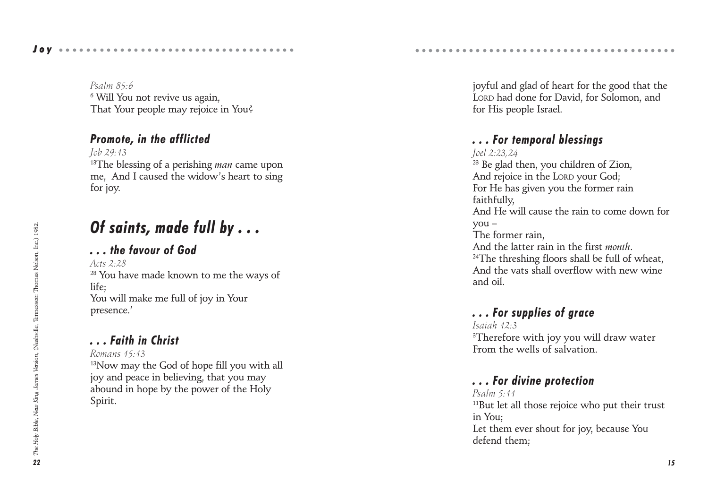*Psalm 85:6*  $^6$  Will You not revive us again, That Your people may rejoice in You?

## *Promote, in the afflicted*

*Job 29:13* 13The blessing of a perishing *man* came upon me, And I caused the widow's heart to sing for joy.

# *Of saints, made full by . . .*

# *. . . the favour of God*

*Acts 2:28* 28 You have made known to me the ways of life; You will make me full of joy in Your presence.'

# *. . . Faith in Christ*

*Romans 15:13*

<sup>13</sup>Now may the God of hope fill you with all joy and peace in believing, that you may abound in hope by the power of the Holy Spirit.

joyful and glad of heart for the good that the LORD had done for David, for Solomon, and for His people Israel.

○○○○○○○○○○○○○○○○○○○○○○○○○○○○○○○○○○ ○○○○○

# *. . . For temporal blessings*

*Joel 2:23,24* <sup>23</sup> Be glad then, you children of Zion, And rejoice in the LORD your God; For He has given you the former rain faithfully, And He will cause the rain to come down for you – The former rain, And the latter rain in the first *month* . <sup>24</sup>The threshing floors shall be full of wheat. And the vats shall overflow with new wine and oil.

# *. . . For supplies of grace*

*Isaiah 12:3*  $\rm{^3}$ Therefore with joy you will draw water From the wells of salvation.

# *. . . For divine protection*

*Psalm 5:11* <sup>11</sup>But let all those rejoice who put their trust in You; Let them ever shout for joy, because You defend them;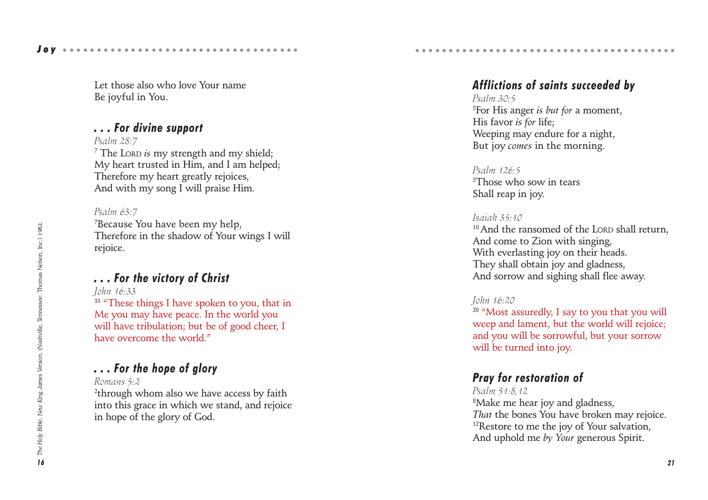Let those also who love Your name Be joyful in You.

## *. . . For divine support*

*Psalm 28:7*

7 The LORD *is* my strength and my shield; My heart trusted in Him, and I am helped; Therefore my heart greatly rejoices, And with my song I will praise Him.

*Psalm 63:7* 7 Because You have been my help, Therefore in the shadow of Your wings I will rejoice.

# *. . . For the victory of Christ*

*John 16:33*

<sup>33</sup> "These things I have spoken to you, that in Me you may have peace. In the world you will have tribulation; but be of good cheer, I have overcome the world."

# *. . . For the hope of glory*

#### *Romans 5:2*

 $^{2}$ through whom also we have access by faith into this grace in which we stand, and rejoice in hope of the glory of God.

# *Afflictions of saints succeeded by*

○○○○○○○○○○○○○○○○○○○○○○○○○○○○○○○○○○ ○○○○○

*Psalm 30:5* 5 For His anger *is but for* a moment, His favor *is for* life; Weeping may endure for a night, But joy *comes* in the morning.

*Psalm 126:5*  ${}^5$ Those who sow in tears Shall reap in joy.

#### *Isaiah 35:10*

<sup>10</sup> And the ransomed of the LORD shall return. And come to Zion with singing, With everlasting joy on their heads. They shall obtain joy and gladness, And sorrow and sighing shall flee away.

## *John 16:20*

<sup>20</sup> "Most assuredly, I say to you that you will weep and lament, but the world will rejoice; and you will be sorrowful, but your sorrow will be turned into joy.

# *Pray for restoration of*

*Psalm 51:8,12* 8 Make me hear joy and gladness, *That* the bones You have broken may rejoice. <sup>12</sup>Restore to me the joy of Your salvation, And uphold me *by Your* generous Spirit.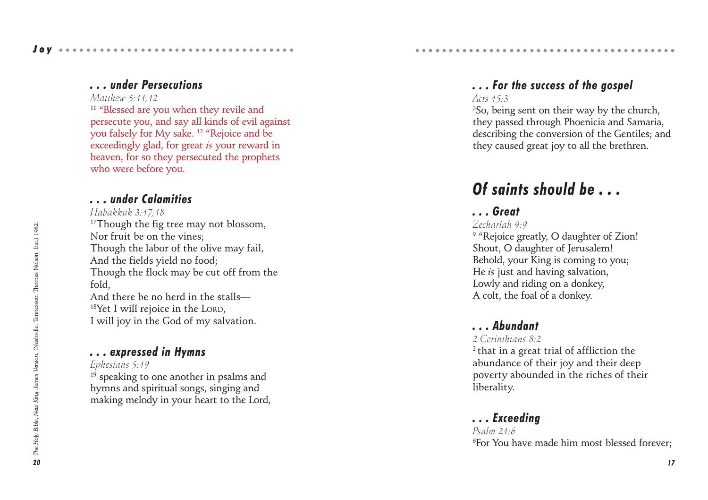## *. . . under Persecutions*

*Matthew 5:11,12*

<sup>11</sup> "Blessed are you when they revile and persecute you, and say all kinds of evil against you falsely for My sake. 12 "Rejoice and be exceedingly glad, for great *is* your reward in heaven, for so they persecuted the prophets who were before you.

## *. . . under Calamities*

#### *Habakkuk 3:17,18*

<sup>17</sup>Though the fig tree may not blossom, Nor fruit be on the vines; Though the labor of the olive may fail, And the fields yield no food; Though the flock may be cut off from the fold, And there be no herd in the stalls—

 $18$ Yet I will rejoice in the LORD, I will joy in the God of my salvation.

# *. . . expressed in Hymns*

*Ephesians 5:19*

 $19$  speaking to one another in psalms and hymns and spiritual songs, singing and making melody in your heart to the Lord,

# *. . . For the success of the gospel*

○○○○○○○○○○○○○○○○○○○○○○○○○○○○○○○○○○ ○○○○○

#### *Acts 15:3*

 ${}^{3}$ So, being sent on their way by the church, they passed through Phoenicia and Samaria, describing the conversion of the Gentiles; and they caused great joy to all the brethren.

# *Of saints should be . . .*

# *. . . Great*

#### *Zechariah 9:9*

<sup>9</sup> "Rejoice greatly, O daughter of Zion! Shout, O daughter of Jerusalem! Behold, your King is coming to you; He *is* just and having salvation, Lowly and riding on a donkey, A colt, the foal of a donkey.

# *. . . Abundant*

## *2 Corinthians 8:2*

2 that in a great trial of affliction the abundance of their joy and their deep poverty abounded in the riches of their liberality.

# *. . . Exceeding*

*Psalm 21:6* 6 For You have made him most blessed forever;